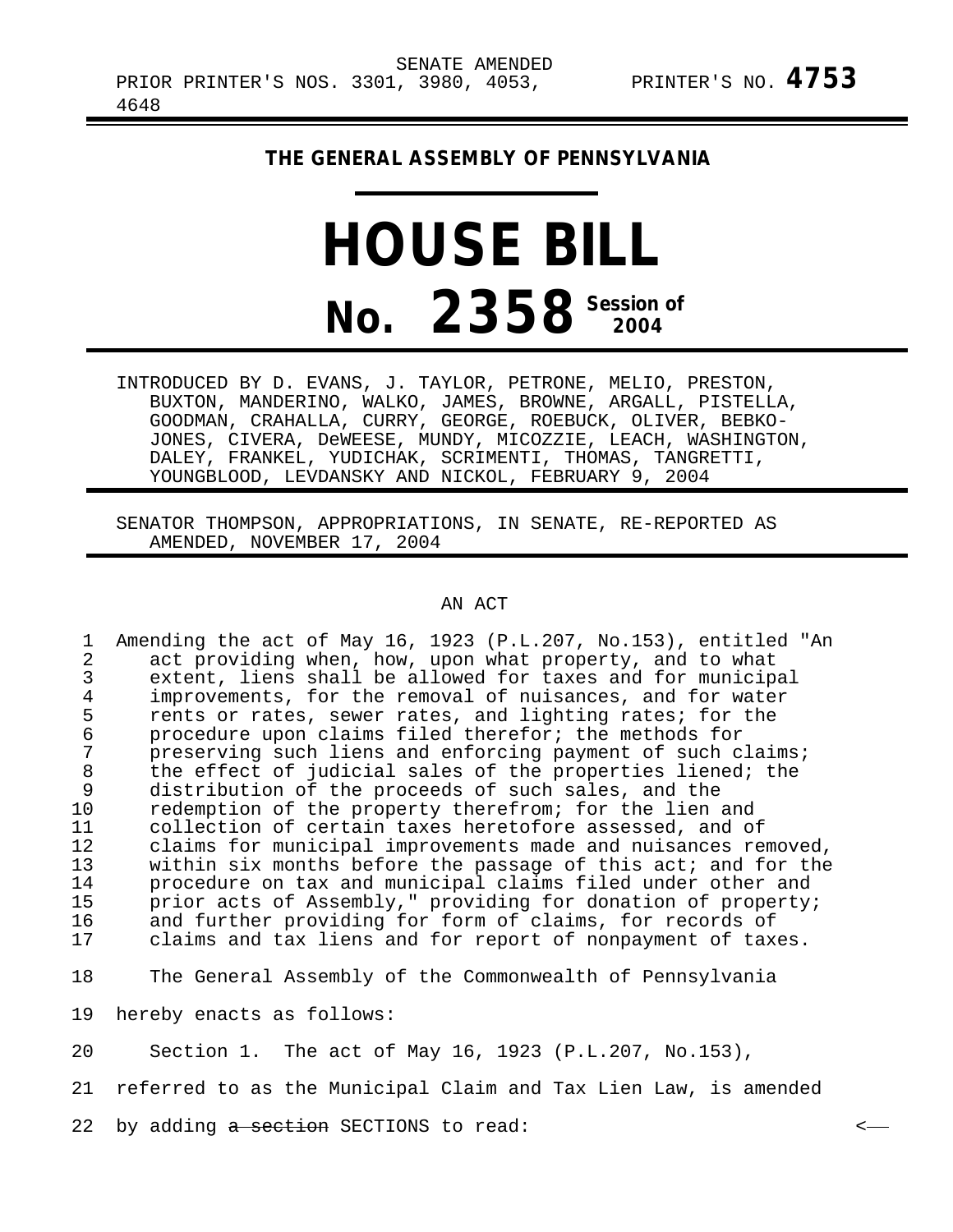## **THE GENERAL ASSEMBLY OF PENNSYLVANIA**

## **HOUSE BILL No.** 2358<sup> Session of</sup>

INTRODUCED BY D. EVANS, J. TAYLOR, PETRONE, MELIO, PRESTON, BUXTON, MANDERINO, WALKO, JAMES, BROWNE, ARGALL, PISTELLA, GOODMAN, CRAHALLA, CURRY, GEORGE, ROEBUCK, OLIVER, BEBKO-JONES, CIVERA, DeWEESE, MUNDY, MICOZZIE, LEACH, WASHINGTON, DALEY, FRANKEL, YUDICHAK, SCRIMENTI, THOMAS, TANGRETTI, YOUNGBLOOD, LEVDANSKY AND NICKOL, FEBRUARY 9, 2004

SENATOR THOMPSON, APPROPRIATIONS, IN SENATE, RE-REPORTED AS AMENDED, NOVEMBER 17, 2004

AN ACT

1 Amending the act of May 16, 1923 (P.L.207, No.153), entitled "An<br>2 act providing when, how, upon what property, and to what 2 act providing when, how, upon what property, and to what<br>3 extent, liens shall be allowed for taxes and for municip. 3 extent, liens shall be allowed for taxes and for municipal<br>4 improvements, for the removal of nuisances, and for water 4 improvements, for the removal of nuisances, and for water<br>5 rents or rates, sewer rates, and lighting rates; for the 5 rents or rates, sewer rates, and lighting rates; for the<br>6 orocedure upon claims filed therefor; the methods for 6 procedure upon claims filed therefor; the methods for 7 preserving such liens and enforcing payment of such claims;<br>8 the effect of judicial sales of the properties liened; the 8 the effect of judicial sales of the properties liened; the<br>9 distribution of the proceeds of such sales, and the distribution of the proceeds of such sales, and the 10 redemption of the property therefrom; for the lien and<br>11 collection of certain taxes heretofore assessed, and ob 11 collection of certain taxes heretofore assessed, and of<br>12 claims for municipal improvements made and nuisances re 12 claims for municipal improvements made and nuisances removed,<br>13 vithin six months before the passage of this act; and for the 13 within six months before the passage of this act; and for the<br>14 brocedure on tax and municipal claims filed under other and 14 procedure on tax and municipal claims filed under other and<br>15 prior acts of Assembly." providing for donation of property. 15 prior acts of Assembly," providing for donation of property;<br>16 and further providing for form of claims, for records of 16 and further providing for form of claims, for records of<br>17 alaims and tax liens and for report of nonpayment of tax claims and tax liens and for report of nonpayment of taxes.

18 The General Assembly of the Commonwealth of Pennsylvania

19 hereby enacts as follows:

20 Section 1. The act of May 16, 1923 (P.L.207, No.153),

21 referred to as the Municipal Claim and Tax Lien Law, is amended

22 by adding a section SECTIONS to read:  $\leftarrow$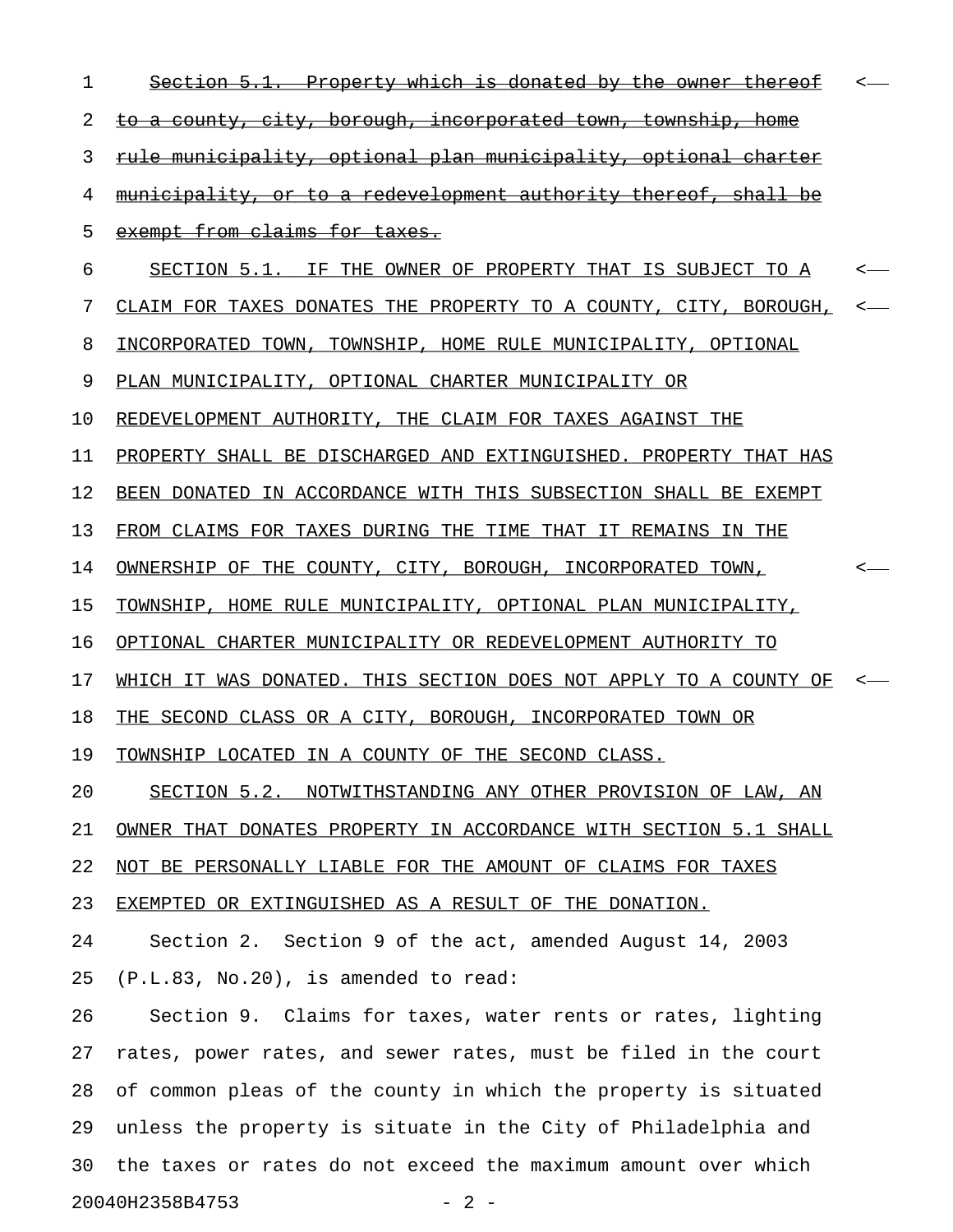| ı  | <del>which is donated</del><br>-bv−                                    |  |  |
|----|------------------------------------------------------------------------|--|--|
| 2  | <u>to a county, city, borough, incorporated town, township, home</u>   |  |  |
| 3  | <u>rule municipality, optional plan municipality, optional charter</u> |  |  |
| 4  | <u>municipality, or to a redevelopment authority thereof, shall be</u> |  |  |
| 5  | exempt from claims for taxes.                                          |  |  |
| 6  | SECTION 5.1. IF THE OWNER OF PROPERTY THAT IS SUBJECT TO A             |  |  |
| 7  | CLAIM FOR TAXES DONATES THE PROPERTY TO A COUNTY, CITY, BOROUGH,       |  |  |
| 8  | INCORPORATED TOWN, TOWNSHIP, HOME RULE MUNICIPALITY, OPTIONAL          |  |  |
| 9  | PLAN MUNICIPALITY, OPTIONAL CHARTER MUNICIPALITY OR                    |  |  |
| 10 | REDEVELOPMENT AUTHORITY, THE CLAIM FOR TAXES AGAINST THE               |  |  |
| 11 | PROPERTY SHALL BE DISCHARGED AND EXTINGUISHED. PROPERTY THAT HAS       |  |  |
| 12 | BEEN DONATED IN ACCORDANCE WITH THIS SUBSECTION SHALL BE EXEMPT        |  |  |
| 13 | FROM CLAIMS FOR TAXES DURING THE TIME THAT IT REMAINS IN THE           |  |  |
| 14 | OWNERSHIP OF THE COUNTY, CITY, BOROUGH, INCORPORATED TOWN,             |  |  |
| 15 | TOWNSHIP, HOME RULE MUNICIPALITY, OPTIONAL PLAN MUNICIPALITY,          |  |  |
| 16 | OPTIONAL CHARTER MUNICIPALITY OR REDEVELOPMENT AUTHORITY TO            |  |  |
| 17 | WHICH IT WAS DONATED. THIS SECTION DOES NOT APPLY TO A COUNTY OF       |  |  |
| 18 | THE SECOND CLASS OR A CITY, BOROUGH, INCORPORATED TOWN OR              |  |  |
| 19 | TOWNSHIP LOCATED IN A COUNTY OF THE SECOND CLASS.                      |  |  |
| 20 | SECTION 5.2. NOTWITHSTANDING ANY OTHER PROVISION OF LAW, AN            |  |  |
| 21 | OWNER THAT DONATES PROPERTY IN ACCORDANCE WITH SECTION 5.1 SHALL       |  |  |
| 22 | NOT BE PERSONALLY LIABLE FOR THE AMOUNT OF CLAIMS FOR TAXES            |  |  |
| 23 | EXEMPTED OR EXTINGUISHED AS A RESULT OF THE DONATION.                  |  |  |
| 24 | Section 2. Section 9 of the act, amended August 14, 2003               |  |  |
| 25 | (P.L.83, No.20), is amended to read:                                   |  |  |
| 26 | Section 9. Claims for taxes, water rents or rates, lighting            |  |  |
| 27 | rates, power rates, and sewer rates, must be filed in the court        |  |  |
| 28 | of common pleas of the county in which the property is situated        |  |  |
| 29 | unless the property is situate in the City of Philadelphia and         |  |  |
| 30 | the taxes or rates do not exceed the maximum amount over which         |  |  |
|    | 20040H2358B4753<br>$-2-$                                               |  |  |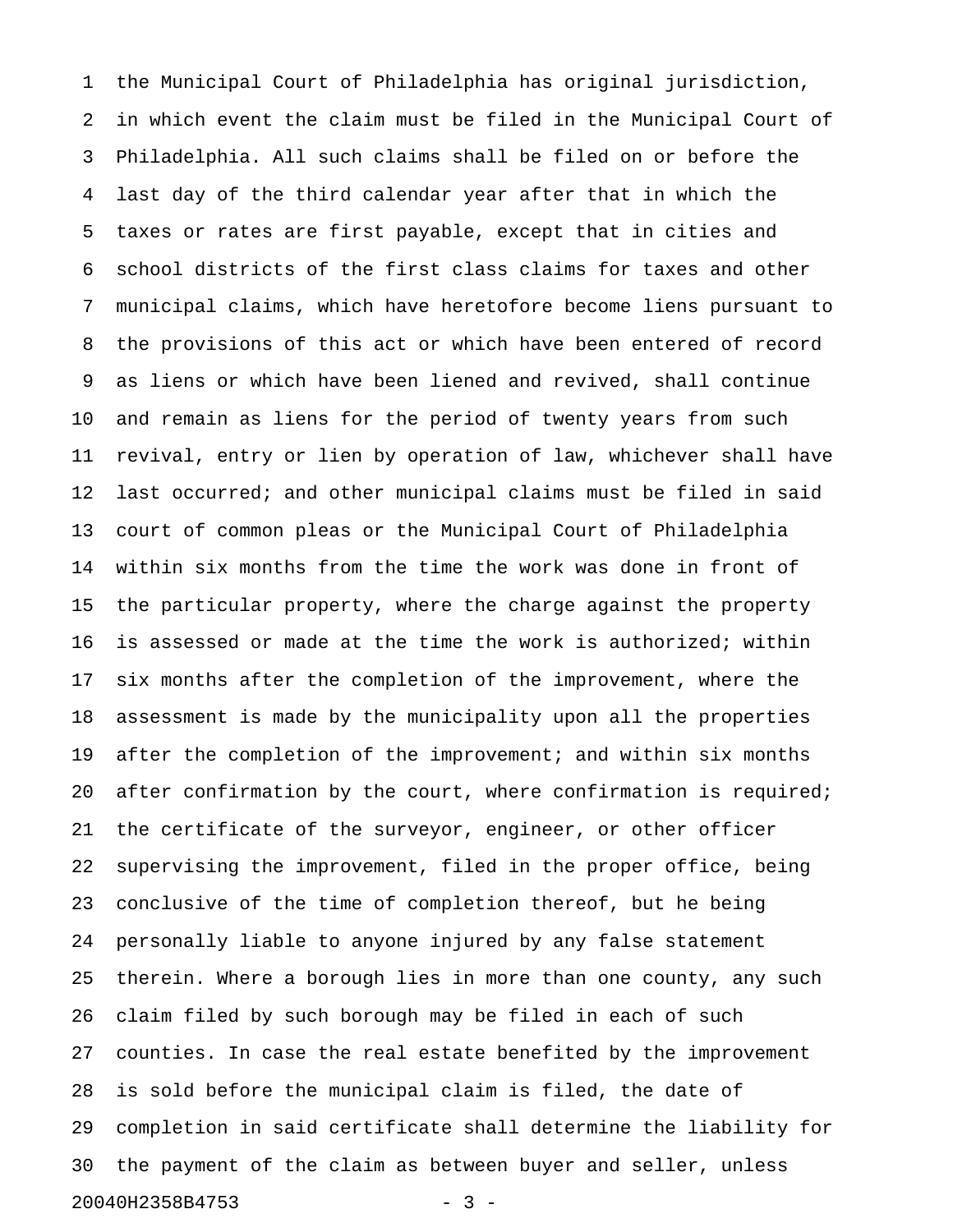1 the Municipal Court of Philadelphia has original jurisdiction, 2 in which event the claim must be filed in the Municipal Court of 3 Philadelphia. All such claims shall be filed on or before the 4 last day of the third calendar year after that in which the 5 taxes or rates are first payable, except that in cities and 6 school districts of the first class claims for taxes and other 7 municipal claims, which have heretofore become liens pursuant to 8 the provisions of this act or which have been entered of record 9 as liens or which have been liened and revived, shall continue 10 and remain as liens for the period of twenty years from such 11 revival, entry or lien by operation of law, whichever shall have 12 last occurred; and other municipal claims must be filed in said 13 court of common pleas or the Municipal Court of Philadelphia 14 within six months from the time the work was done in front of 15 the particular property, where the charge against the property 16 is assessed or made at the time the work is authorized; within 17 six months after the completion of the improvement, where the 18 assessment is made by the municipality upon all the properties 19 after the completion of the improvement; and within six months 20 after confirmation by the court, where confirmation is required; 21 the certificate of the surveyor, engineer, or other officer 22 supervising the improvement, filed in the proper office, being 23 conclusive of the time of completion thereof, but he being 24 personally liable to anyone injured by any false statement 25 therein. Where a borough lies in more than one county, any such 26 claim filed by such borough may be filed in each of such 27 counties. In case the real estate benefited by the improvement 28 is sold before the municipal claim is filed, the date of 29 completion in said certificate shall determine the liability for 30 the payment of the claim as between buyer and seller, unless 20040H2358B4753 - 3 -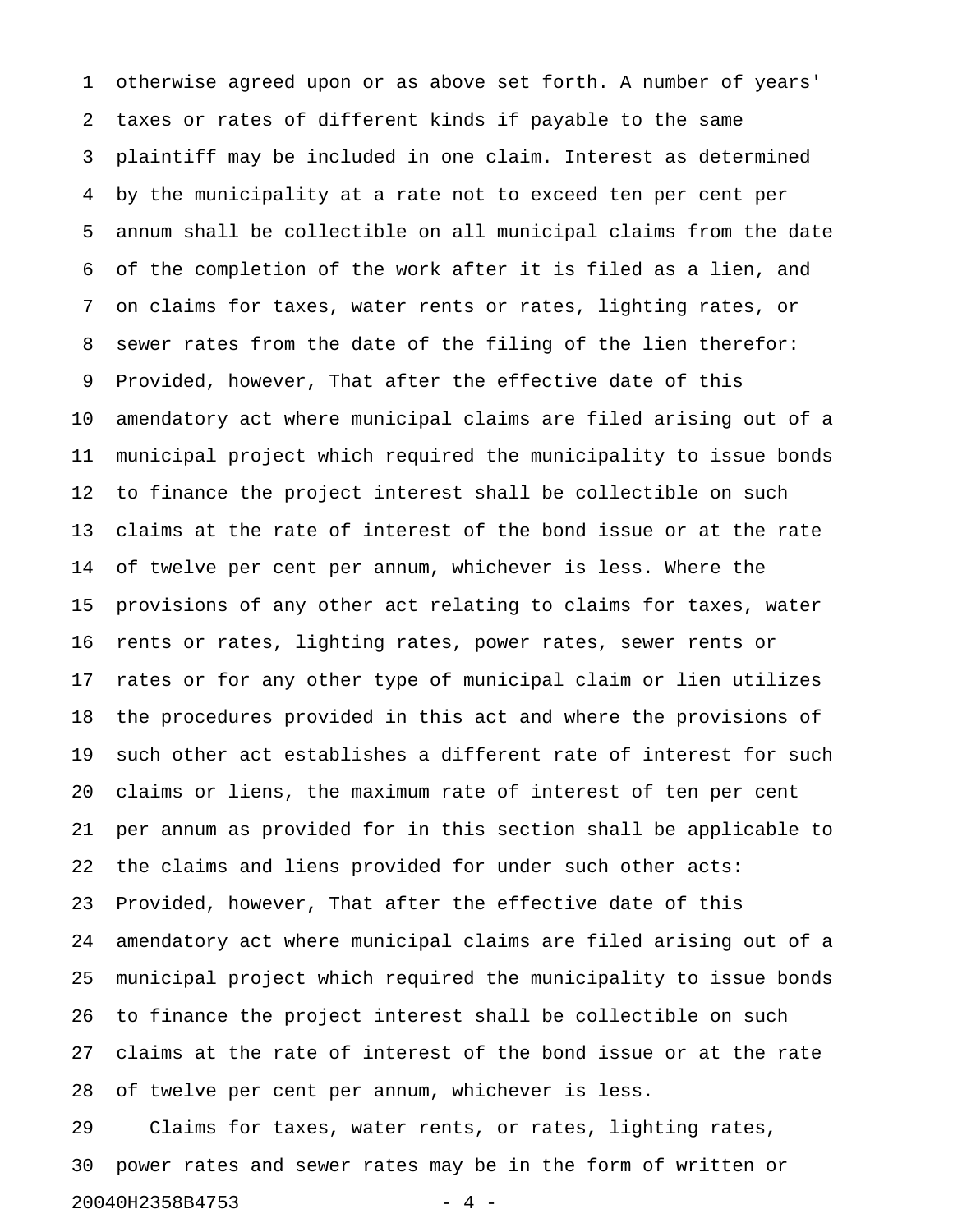1 otherwise agreed upon or as above set forth. A number of years' 2 taxes or rates of different kinds if payable to the same 3 plaintiff may be included in one claim. Interest as determined 4 by the municipality at a rate not to exceed ten per cent per 5 annum shall be collectible on all municipal claims from the date 6 of the completion of the work after it is filed as a lien, and 7 on claims for taxes, water rents or rates, lighting rates, or 8 sewer rates from the date of the filing of the lien therefor: 9 Provided, however, That after the effective date of this 10 amendatory act where municipal claims are filed arising out of a 11 municipal project which required the municipality to issue bonds 12 to finance the project interest shall be collectible on such 13 claims at the rate of interest of the bond issue or at the rate 14 of twelve per cent per annum, whichever is less. Where the 15 provisions of any other act relating to claims for taxes, water 16 rents or rates, lighting rates, power rates, sewer rents or 17 rates or for any other type of municipal claim or lien utilizes 18 the procedures provided in this act and where the provisions of 19 such other act establishes a different rate of interest for such 20 claims or liens, the maximum rate of interest of ten per cent 21 per annum as provided for in this section shall be applicable to 22 the claims and liens provided for under such other acts: 23 Provided, however, That after the effective date of this 24 amendatory act where municipal claims are filed arising out of a 25 municipal project which required the municipality to issue bonds 26 to finance the project interest shall be collectible on such 27 claims at the rate of interest of the bond issue or at the rate 28 of twelve per cent per annum, whichever is less.

29 Claims for taxes, water rents, or rates, lighting rates, 30 power rates and sewer rates may be in the form of written or 20040H2358B4753 - 4 -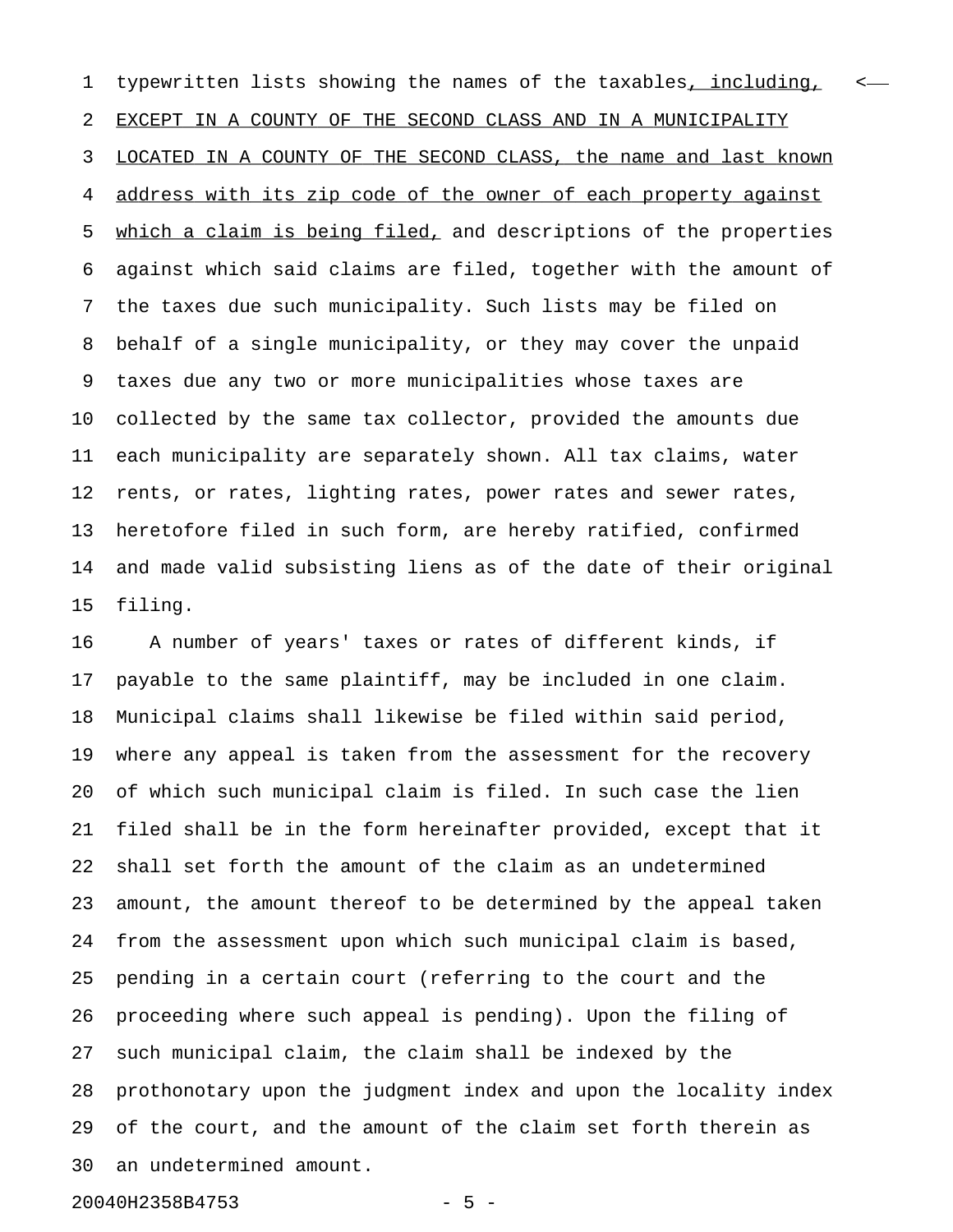1 typewritten lists showing the names of the taxables, including, < 2 EXCEPT IN A COUNTY OF THE SECOND CLASS AND IN A MUNICIPALITY 3 LOCATED IN A COUNTY OF THE SECOND CLASS, the name and last known 4 address with its zip code of the owner of each property against 5 which a claim is being filed, and descriptions of the properties 6 against which said claims are filed, together with the amount of 7 the taxes due such municipality. Such lists may be filed on 8 behalf of a single municipality, or they may cover the unpaid 9 taxes due any two or more municipalities whose taxes are 10 collected by the same tax collector, provided the amounts due 11 each municipality are separately shown. All tax claims, water 12 rents, or rates, lighting rates, power rates and sewer rates, 13 heretofore filed in such form, are hereby ratified, confirmed 14 and made valid subsisting liens as of the date of their original 15 filing.

16 A number of years' taxes or rates of different kinds, if 17 payable to the same plaintiff, may be included in one claim. 18 Municipal claims shall likewise be filed within said period, 19 where any appeal is taken from the assessment for the recovery 20 of which such municipal claim is filed. In such case the lien 21 filed shall be in the form hereinafter provided, except that it 22 shall set forth the amount of the claim as an undetermined 23 amount, the amount thereof to be determined by the appeal taken 24 from the assessment upon which such municipal claim is based, 25 pending in a certain court (referring to the court and the 26 proceeding where such appeal is pending). Upon the filing of 27 such municipal claim, the claim shall be indexed by the 28 prothonotary upon the judgment index and upon the locality index 29 of the court, and the amount of the claim set forth therein as 30 an undetermined amount.

20040H2358B4753 - 5 -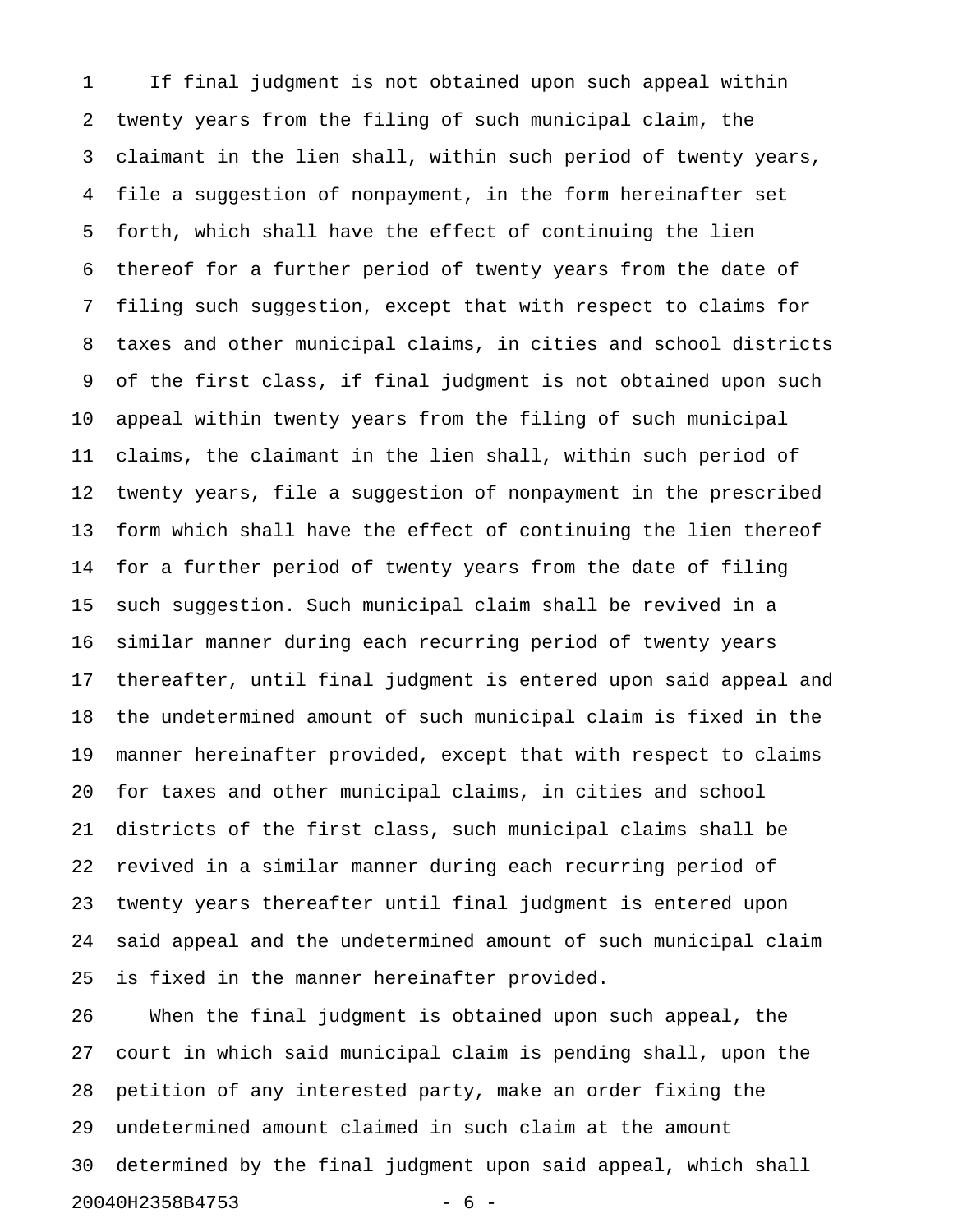1 If final judgment is not obtained upon such appeal within 2 twenty years from the filing of such municipal claim, the 3 claimant in the lien shall, within such period of twenty years, 4 file a suggestion of nonpayment, in the form hereinafter set 5 forth, which shall have the effect of continuing the lien 6 thereof for a further period of twenty years from the date of 7 filing such suggestion, except that with respect to claims for 8 taxes and other municipal claims, in cities and school districts 9 of the first class, if final judgment is not obtained upon such 10 appeal within twenty years from the filing of such municipal 11 claims, the claimant in the lien shall, within such period of 12 twenty years, file a suggestion of nonpayment in the prescribed 13 form which shall have the effect of continuing the lien thereof 14 for a further period of twenty years from the date of filing 15 such suggestion. Such municipal claim shall be revived in a 16 similar manner during each recurring period of twenty years 17 thereafter, until final judgment is entered upon said appeal and 18 the undetermined amount of such municipal claim is fixed in the 19 manner hereinafter provided, except that with respect to claims 20 for taxes and other municipal claims, in cities and school 21 districts of the first class, such municipal claims shall be 22 revived in a similar manner during each recurring period of 23 twenty years thereafter until final judgment is entered upon 24 said appeal and the undetermined amount of such municipal claim 25 is fixed in the manner hereinafter provided.

26 When the final judgment is obtained upon such appeal, the 27 court in which said municipal claim is pending shall, upon the 28 petition of any interested party, make an order fixing the 29 undetermined amount claimed in such claim at the amount 30 determined by the final judgment upon said appeal, which shall 20040H2358B4753 - 6 -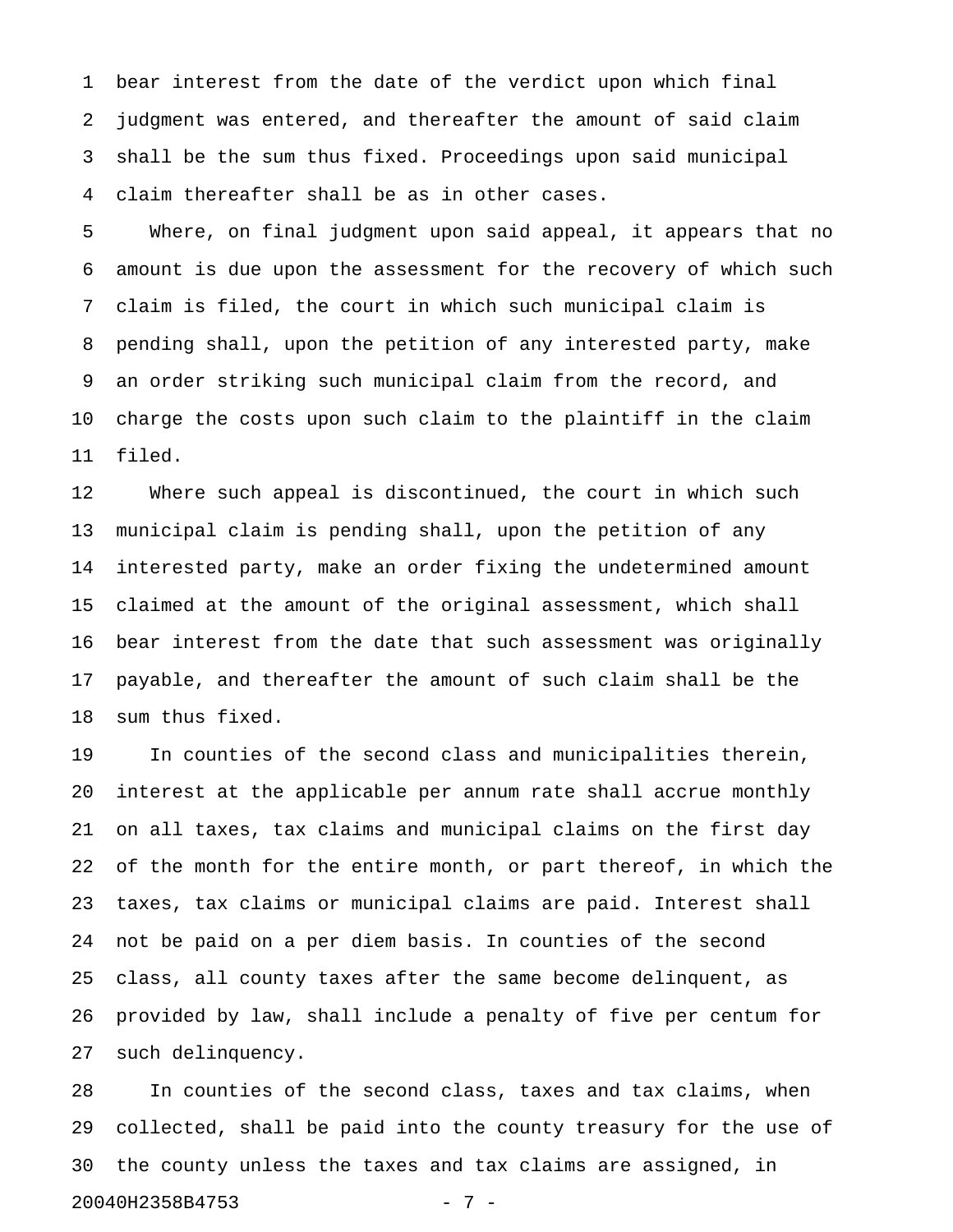1 bear interest from the date of the verdict upon which final 2 judgment was entered, and thereafter the amount of said claim 3 shall be the sum thus fixed. Proceedings upon said municipal 4 claim thereafter shall be as in other cases.

5 Where, on final judgment upon said appeal, it appears that no 6 amount is due upon the assessment for the recovery of which such 7 claim is filed, the court in which such municipal claim is 8 pending shall, upon the petition of any interested party, make 9 an order striking such municipal claim from the record, and 10 charge the costs upon such claim to the plaintiff in the claim 11 filed.

12 Where such appeal is discontinued, the court in which such 13 municipal claim is pending shall, upon the petition of any 14 interested party, make an order fixing the undetermined amount 15 claimed at the amount of the original assessment, which shall 16 bear interest from the date that such assessment was originally 17 payable, and thereafter the amount of such claim shall be the 18 sum thus fixed.

19 In counties of the second class and municipalities therein, 20 interest at the applicable per annum rate shall accrue monthly 21 on all taxes, tax claims and municipal claims on the first day 22 of the month for the entire month, or part thereof, in which the 23 taxes, tax claims or municipal claims are paid. Interest shall 24 not be paid on a per diem basis. In counties of the second 25 class, all county taxes after the same become delinquent, as 26 provided by law, shall include a penalty of five per centum for 27 such delinquency.

28 In counties of the second class, taxes and tax claims, when 29 collected, shall be paid into the county treasury for the use of 30 the county unless the taxes and tax claims are assigned, in 20040H2358B4753 - 7 -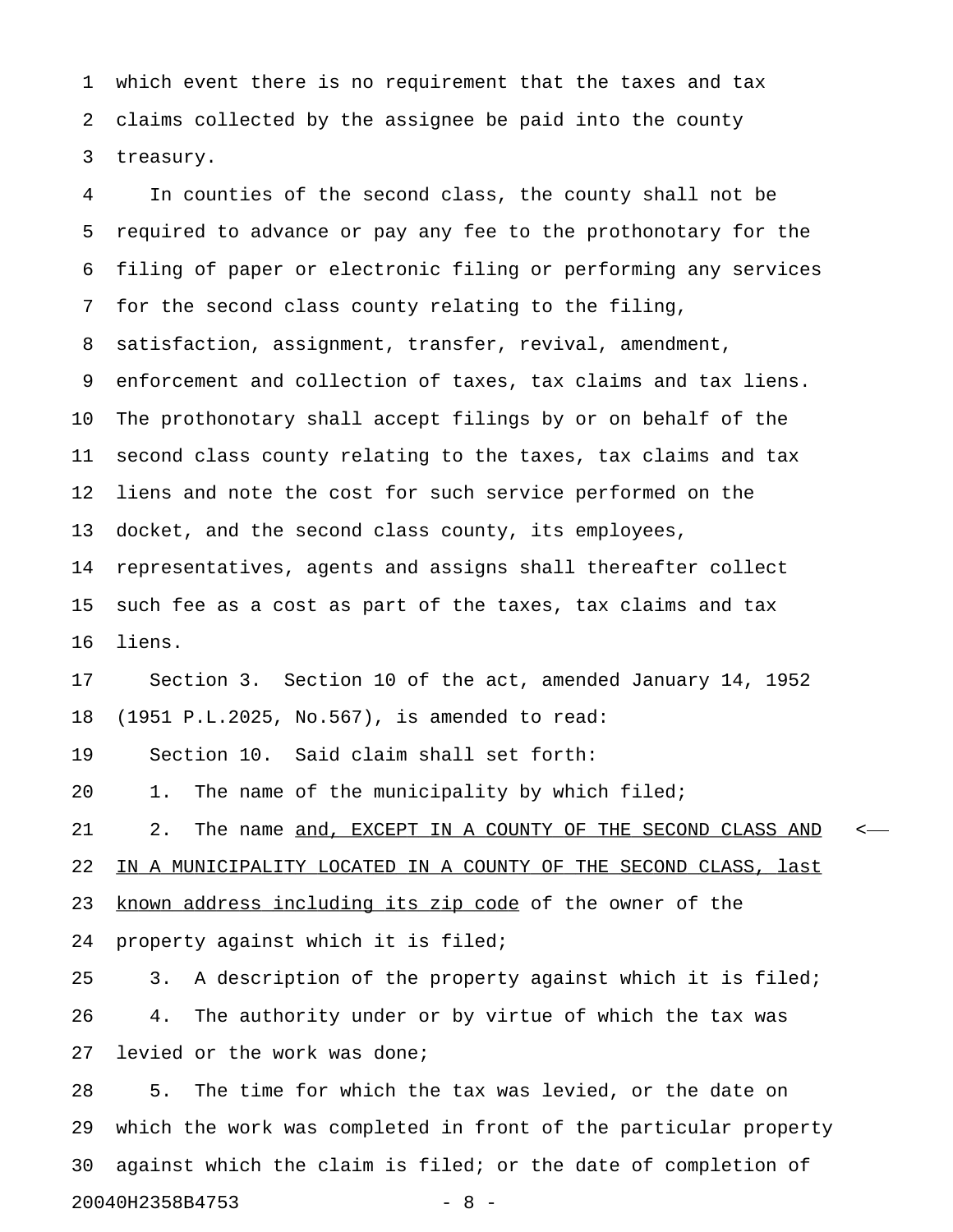1 which event there is no requirement that the taxes and tax 2 claims collected by the assignee be paid into the county 3 treasury.

4 In counties of the second class, the county shall not be 5 required to advance or pay any fee to the prothonotary for the 6 filing of paper or electronic filing or performing any services 7 for the second class county relating to the filing, 8 satisfaction, assignment, transfer, revival, amendment, 9 enforcement and collection of taxes, tax claims and tax liens. 10 The prothonotary shall accept filings by or on behalf of the 11 second class county relating to the taxes, tax claims and tax 12 liens and note the cost for such service performed on the 13 docket, and the second class county, its employees, 14 representatives, agents and assigns shall thereafter collect 15 such fee as a cost as part of the taxes, tax claims and tax 16 liens.

17 Section 3. Section 10 of the act, amended January 14, 1952 18 (1951 P.L.2025, No.567), is amended to read:

19 Section 10. Said claim shall set forth:

20 1. The name of the municipality by which filed;

21 2. The name and, EXCEPT IN A COUNTY OF THE SECOND CLASS AND <-22 IN A MUNICIPALITY LOCATED IN A COUNTY OF THE SECOND CLASS, last 23 known address including its zip code of the owner of the 24 property against which it is filed;

25 3. A description of the property against which it is filed; 26 4. The authority under or by virtue of which the tax was 27 levied or the work was done;

28 5. The time for which the tax was levied, or the date on 29 which the work was completed in front of the particular property 30 against which the claim is filed; or the date of completion of 20040H2358B4753 - 8 -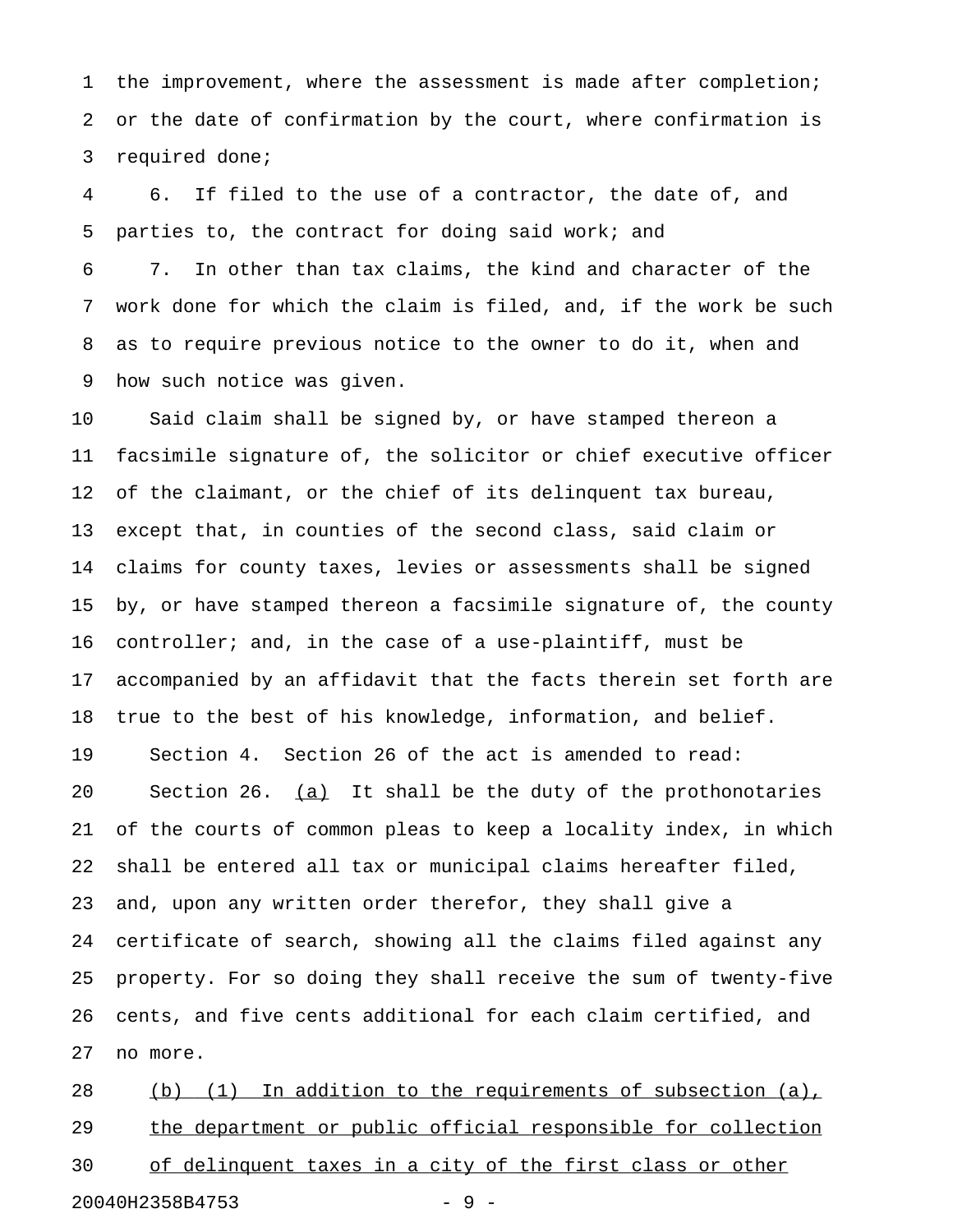1 the improvement, where the assessment is made after completion; 2 or the date of confirmation by the court, where confirmation is 3 required done;

4 6. If filed to the use of a contractor, the date of, and 5 parties to, the contract for doing said work; and

6 7. In other than tax claims, the kind and character of the 7 work done for which the claim is filed, and, if the work be such 8 as to require previous notice to the owner to do it, when and 9 how such notice was given.

10 Said claim shall be signed by, or have stamped thereon a 11 facsimile signature of, the solicitor or chief executive officer 12 of the claimant, or the chief of its delinquent tax bureau, 13 except that, in counties of the second class, said claim or 14 claims for county taxes, levies or assessments shall be signed 15 by, or have stamped thereon a facsimile signature of, the county 16 controller; and, in the case of a use-plaintiff, must be 17 accompanied by an affidavit that the facts therein set forth are 18 true to the best of his knowledge, information, and belief. 19 Section 4. Section 26 of the act is amended to read: 20 Section 26.  $(a)$  It shall be the duty of the prothonotaries 21 of the courts of common pleas to keep a locality index, in which 22 shall be entered all tax or municipal claims hereafter filed, 23 and, upon any written order therefor, they shall give a 24 certificate of search, showing all the claims filed against any 25 property. For so doing they shall receive the sum of twenty-five 26 cents, and five cents additional for each claim certified, and 27 no more.

28 (b) (1) In addition to the requirements of subsection (a), 29 the department or public official responsible for collection 30 of delinquent taxes in a city of the first class or other 20040H2358B4753 - 9 -